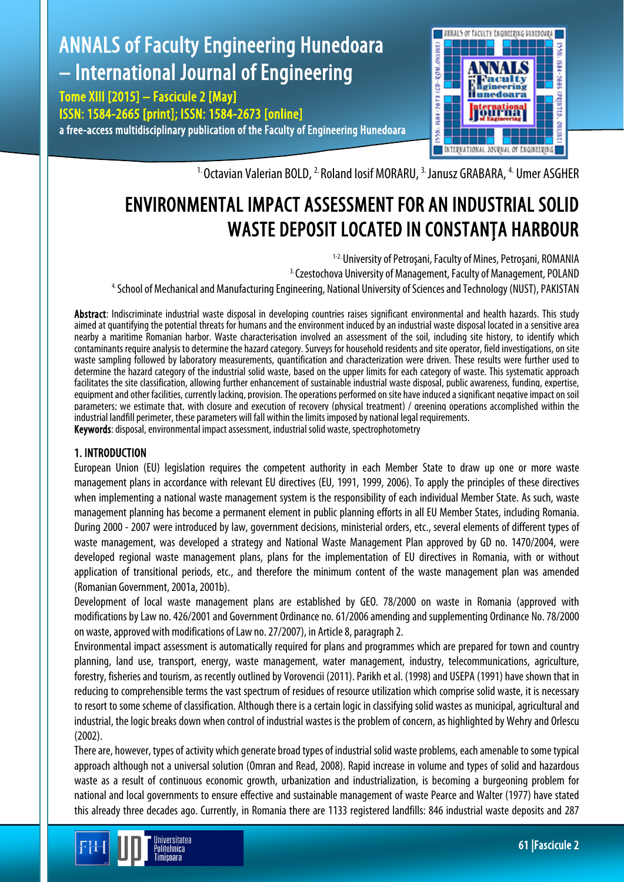

<sup>1.</sup> Octavian Valerian BOLD, <sup>2.</sup> Roland Iosif MORARU, <sup>3.</sup> Janusz GRABARA, <sup>4.</sup> Umer ASGHER

# ENVIRONMENTAL IMPACT ASSESSMENT FOR AN INDUSTRIAL SOLID WASTE DEPOSIT LOCATED IN CONSTANŢA HARBOUR

1-2. University of Petroşani, Faculty of Mines, Petroşani, ROMANIA 3. Czestochova University of Management, Faculty of Management, POLAND 4. School of Mechanical and Manufacturing Engineering, National University of Sciences and Technology (NUST), PAKISTAN

Abstract: Indiscriminate industrial waste disposal in developing countries raises significant environmental and health hazards. This study aimed at quantifying the potential threats for humans and the environment induced by an industrial waste disposal located in a sensitive area nearby a maritime Romanian harbor. Waste characterisation involved an assessment of the soil, including site history, to identify which contaminants require analysis to determine the hazard category. Surveys for household residents and site operator, field investigations, on site waste sampling followed by laboratory measurements, quantification and characterization were driven. These results were further used to determine the hazard category of the industrial solid waste, based on the upper limits for each category of waste. This systematic approach facilitates the site classification, allowing further enhancement of sustainable industrial waste disposal, public awareness, funding, expertise, equipment and other facilities, currently lacking, provision. The operations performed on site have induced a significant negative impact on soil parameters; we estimate that, with closure and execution of recovery (physical treatment) / greening operations accomplished within the industrial landfill perimeter, these parameters will fall within the limits imposed by national legal requirements. Keywords: disposal, environmental impact assessment, industrial solid waste, spectrophotometry

## 1. INTRODUCTION

Jniversitatea Politehnica Timisnara

European Union (EU) legislation requires the competent authority in each Member State to draw up one or more waste management plans in accordance with relevant EU directives (EU, 1991, 1999, 2006). To apply the principles of these directives when implementing a national waste management system is the responsibility of each individual Member State. As such, waste management planning has become a permanent element in public planning efforts in all EU Member States, including Romania. During 2000 - 2007 were introduced by law, government decisions, ministerial orders, etc., several elements of different types of waste management, was developed a strategy and National Waste Management Plan approved by GD no. 1470/2004, were developed regional waste management plans, plans for the implementation of EU directives in Romania, with or without application of transitional periods, etc., and therefore the minimum content of the waste management plan was amended (Romanian Government,2001a,2001b).

Development of local waste management plans are established by GEO. 78/2000 on waste in Romania (approved with modificationsbyLaw no.426/2001and Government Ordinance no.61/2006amendingandsupplementing Ordinance No.78/2000 on waste, approved with modifications of Law no. 27/2007), in Article 8, paragraph 2.

Environmental impact assessment is automatically required for plans and programmes which are prepared for town and country planning, land use, transport, energy, waste management, water management, industry, telecommunications, agriculture, forestry, fisheries and tourism, as recently outlined by Vorovencii (2011). Parikh et al. (1998) and USEPA (1991) have shown that in reducing to comprehensible terms the vast spectrum of residues of resource utilization which comprise solid waste, it is necessary to resort to some scheme of classification. Although there is a certain logic in classifying solid wastes as municipal, agricultural and industrial, the logic breaks down when control of industrial wastes is the problem of concern, as highlighted by Wehry and Orlescu (2002).

There are, however, types of activity which generate broad types of industrial solid waste problems, each amenable to some typical approach although not a universal solution (Omran and Read, 2008). Rapid increase in volume and types of solid and hazardous waste as a result of continuous economic growth, urbanization and industrialization, is becoming a burgeoning problem for national and local governments to ensure effective and sustainable management of waste Pearce and Walter (1977) have stated this already three decades ago. Currently, in Romania there are 1133 registered landfills: 846 industrial waste deposits and 287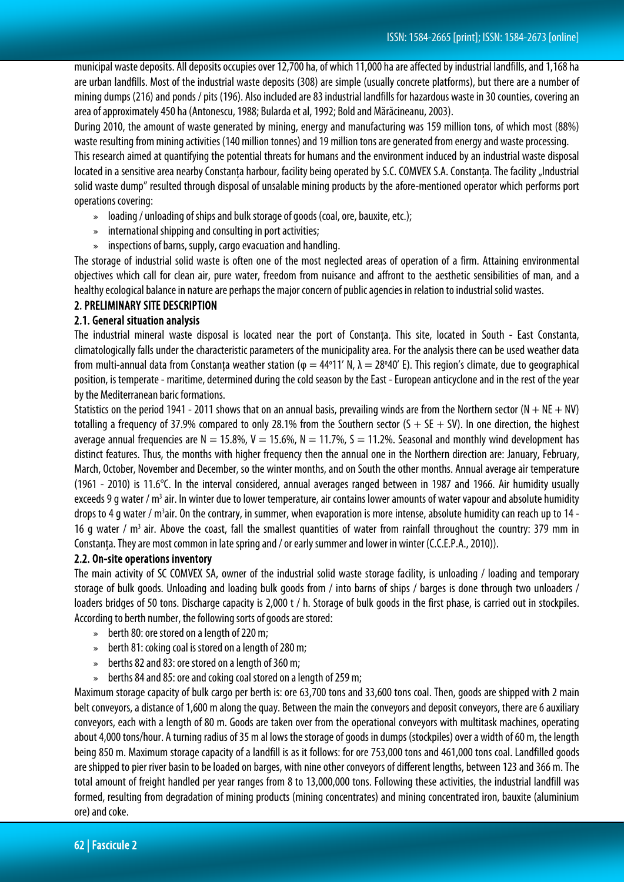municipal waste deposits. All deposits occupies over 12,700 ha, of which 11,000 ha are affected by industrial landfills, and 1,168 ha are urban landfills. Most of the industrial waste deposits (308) are simple (usually concrete platforms), but there are a number of mining dumps (216) and ponds / pits (196). Also included are 83 industrial landfills for hazardous waste in 30 counties, covering an area of approximately 450 ha (Antonescu, 1988; Bularda et al, 1992; Bold and Mărăcineanu, 2003).

During 2010, the amount of waste generated by mining, energy and manufacturing was 159 million tons, of which most (88%) waste resulting from mining activities (140 million tonnes) and 19 million tons are generated from energy and waste processing.

This research aimed at quantifying the potential threats for humans and the environment induced by an industrial waste disposal located in a sensitive area nearby Constanta harbour, facility being operated by S.C. COMVEX S.A. Constanta. The facility "Industrial solid waste dump" resulted through disposal of unsalable mining products by the afore-mentioned operator which performs port operations covering:

- » loading / unloading of ships and bulk storage of goods (coal, ore, bauxite, etc.);
- » international shipping and consulting in port activities;
- » inspections of barns, supply, cargo evacuation and handling.

The storage of industrial solid waste is often one of the most neglected areas of operation of a firm. Attaining environmental objectives which call for clean air, pure water, freedom from nuisance and affront to the aesthetic sensibilities of man, and a healthy ecological balance in nature are perhaps the major concern of public agencies in relation to industrial solid wastes.

#### 2. PRELIMINARY SITE DESCRIPTION

#### 2.1. General situation analysis

The industrial mineral waste disposal is located near the port of Constanţa. This site, located in South - East Constanta, climatologically falls under the characteristic parameters of the municipality area. For the analysis there can be used weather data from multi-annual data from Constanța weather station (φ = 44°11' N, λ = 28°40' E). This region's climate, due to geographical position, is temperate - maritime, determined during the cold season by the East - European anticyclone and in the rest of the year bythe Mediterranean baric formations.

Statistics on the period 1941 - 2011 shows that on an annual basis, prevailing winds are from the Northern sector ( $N + NE + NV$ ) totalling a frequency of 37.9% compared to only 28.1% from the Southern sector  $(S + SE + SV)$ . In one direction, the highest average annual frequencies are  $N = 15.8\%$ ,  $V = 15.6\%$ ,  $N = 11.7\%$ ,  $S = 11.2\%$ . Seasonal and monthly wind development has distinct features. Thus, the months with higher frequency then the annual one in the Northern direction are: January, February, March, October, November and December, so the winter months, and on South the other months. Annual average air temperature (1961 - 2010) is 11.6°C. In the interval considered, annual averages ranged between in 1987 and 1966. Air humidity usually exceeds 9 g water /  $m<sup>3</sup>$  air. In winter due to lower temperature, air contains lower amounts of water vapour and absolute humidity drops to 4 g water / m<sup>3</sup>air. On the contrary, in summer, when evaporation is more intense, absolute humidity can reach up to 14 -16 g water /  $m<sup>3</sup>$  air. Above the coast, fall the smallest quantities of water from rainfall throughout the country: 379 mm in Constanta. They are most common in late spring and / or early summer and lower in winter (C.C.E.P.A., 2010)).

#### 2.2. On-site operations inventory

The main activity of SC COMVEX SA, owner of the industrial solid waste storage facility, is unloading / loading and temporary storage of bulk goods. Unloading and loading bulk goods from / into barns of ships / barges is done through two unloaders / loaders bridges of 50 tons. Discharge capacity is 2,000 t / h. Storage of bulk goods in the first phase, is carried out in stockpiles. According to berth number, the following sorts of goods are stored:

- » berth 80: ore stored on a length of 220 m;
- $\bullet$  berth 81: coking coal is stored on a length of 280 m;
- » berths 82 and 83: ore stored on a length of 360 m;
- » berths 84 and 85: ore and coking coal stored on a length of 259 m;

Maximum storage capacity of bulk cargo per berth is: ore 63,700 tons and 33,600 tons coal. Then, goods are shipped with 2 main belt conveyors, a distance of 1,600 m along the quay. Between the main the conveyors and deposit conveyors, there are 6 auxiliary conveyors, each with a length of 80 m. Goods are taken over from the operational conveyors with multitask machines, operating about 4,000 tons/hour. A turning radius of 35 m al lows the storage of goods in dumps (stockpiles) over a width of 60 m, the length being 850 m. Maximum storage capacity of a landfill is as it follows: for ore 753,000 tons and 461,000 tons coal. Landfilled goods are shipped to pier river basin to be loaded on barges, with nine other conveyors of different lengths, between 123 and 366 m. The total amount of freight handled per year ranges from 8 to 13,000,000 tons. Following these activities, the industrial landfill was formed, resulting from degradation of mining products (mining concentrates) and mining concentrated iron, bauxite (aluminium ore) and coke.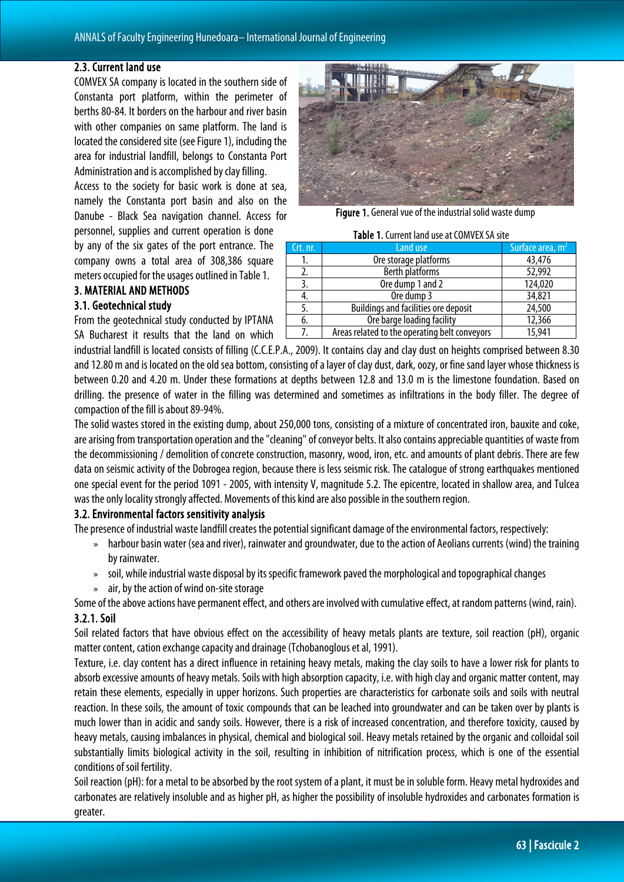## 2.3. Current land use

COMVEX SA company is located in the southern side of Constanta port platform, within the perimeter of berths 80-84. It borders on the harbour and river basin with other companies on same platform. The land is located the considered site (see Figure 1), including the area for industrial landfill, belongs to Constanta Port Administration and is accomplished by clay filling.

Access to the society for basic work is done at sea, namely the Constanta port basin and also on the Danube - Black Sea navigation channel. Access for personnel, supplies and current operation is done

by any of the six gates of the port entrance. The company owns a total area of 308,386 square meters occupied for the usages outlined in Table 1.

## 3. MATERIAL AND METHODS

#### 3.1. Geotechnical study

From the geotechnical study conducted by IPTANA SA Bucharest it results that the land on which



Figure 1. General vue of the industrial solid waste dump

#### Table 1. Current land use at COMVEX SA site

| Crt. nr. | Land use                                      | Surface area, $m2$ |
|----------|-----------------------------------------------|--------------------|
|          | Ore storage platforms                         | 43,476             |
|          | <b>Berth platforms</b>                        | 52,992             |
| 3.       | Ore dump 1 and 2                              | 124,020            |
| 4.       | Ore dump 3                                    | 34,821             |
| 5.       | <b>Buildings and facilities ore deposit</b>   | 24,500             |
| 6.       | Ore barge loading facility                    | 12,366             |
|          | Areas related to the operating belt conveyors | 15,941             |

industrial landfill is located consists of filling (C.C.E.P.A., 2009). It contains clay and clay dust on heights comprised between 8.30 and 12.80 m and is located on the old sea bottom, consisting of a layer of clay dust, dark, oozy, or fine sand layer whose thickness is between 0.20 and 4.20 m. Under these formations at depths between 12.8 and 13.0 m is the limestone foundation. Based on drilling. the presence of water in the filling was determined and sometimes as infiltrations in the body filler. The degree of compaction of the fill is about 89-94%.

The solid wastes stored in the existing dump, about 250,000 tons, consisting of a mixture of concentrated iron, bauxite and coke, are arising from transportation operation and the "cleaning" of conveyor belts. It also contains appreciable quantities of waste from the decommissioning / demolition of concrete construction, masonry, wood, iron, etc. and amounts of plant debris. There are few data on seismic activity of the Dobrogea region, because there is less seismic risk. The catalogue of strong earthquakes mentioned one special event for the period 1091 - 2005, with intensity V, magnitude 5.2. The epicentre, located in shallow area, and Tulcea was the only locality strongly affected. Movements of this kind are also possible in the southern region.

## 3.2. Environmental factors sensitivity analysis

The presence of industrial waste landfill creates the potential significant damage of the environmental factors, respectively:

- » harbour basin water (sea and river), rainwater and groundwater, due to the action of Aeolians currents (wind) the training byrainwater.
- » soil, while industrial waste disposal by its specific framework paved the morphological and topographical changes
- $\ast$  air, by the action of wind on-site storage

Some of the above actions have permanent effect, and others are involved with cumulative effect, at random patterns (wind, rain). 3.2.1. Soil

Soil related factors that have obvious effect on the accessibility of heavy metals plants are texture, soil reaction (pH), organic matter content, cation exchange capacity and drainage (Tchobanoglous et al, 1991).

Texture, i.e. clay content has a direct influence in retaining heavy metals, making the clay soils to have a lower risk for plants to absorb excessive amounts of heavy metals. Soils with high absorption capacity, i.e. with high clay and organic matter content, may retain these elements, especially in upper horizons. Such properties are characteristics for carbonate soils and soils with neutral reaction. In these soils, the amount of toxic compounds that can be leached into groundwater and can be taken over by plants is much lower than in acidic and sandy soils. However, there is a risk of increased concentration, and therefore toxicity, caused by heavy metals, causing imbalances in physical, chemical and biological soil. Heavy metals retained by the organic and colloidal soil substantially limits biological activity in the soil, resulting in inhibition of nitrification process, which is one of the essential conditions of soil fertility.

Soil reaction (pH): for a metal to be absorbed by the root system of a plant, it must be in soluble form. Heavy metal hydroxides and carbonates are relatively insoluble and as higher pH, as higher the possibility of insoluble hydroxides and carbonates formation is greater.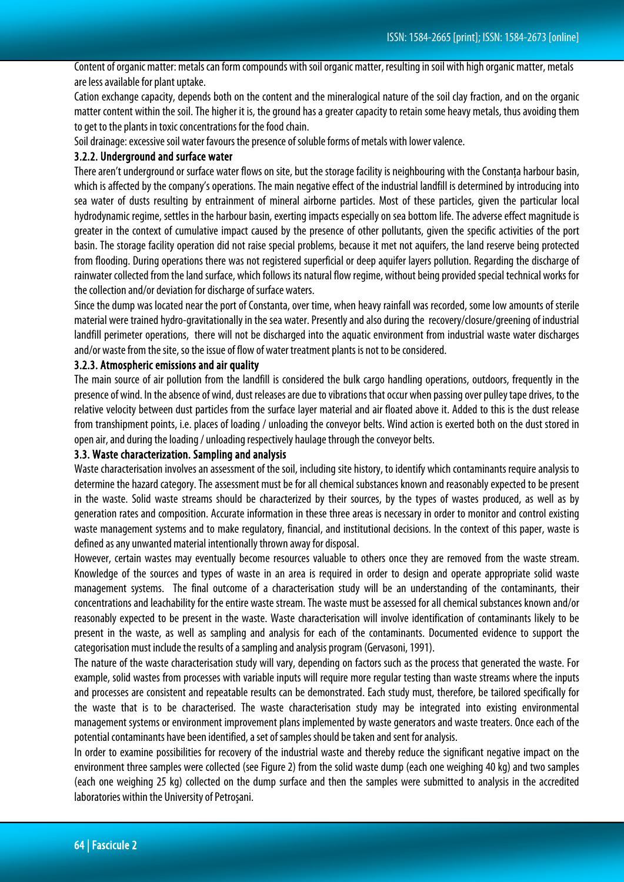Content of organic matter: metals can form compounds with soil organic matter, resulting in soil with high organic matter, metals are less available for plant uptake.

Cation exchange capacity, depends both on the content and the mineralogical nature of the soil clay fraction, and on the organic matter content within the soil. The higher it is, the ground has a greater capacity to retain some heavy metals, thus avoiding them to get to the plants in toxic concentrations for the food chain.

Soil drainage: excessive soil water favours the presence of soluble forms of metals with lower valence.

#### 3.2.2. Underground and surface water

There aren't underground or surface water flows on site, but the storage facility is neighbouring with the Constanta harbour basin, which is affected by the company's operations. The main negative effect of the industrial landfill is determined by introducing into sea water of dusts resulting by entrainment of mineral airborne particles. Most of these particles, given the particular local hydrodynamic regime, settles in the harbour basin, exerting impacts especially on sea bottom life. The adverse effect magnitude is greater in the context of cumulative impact caused by the presence of other pollutants, given the specific activities of the port basin. The storage facility operation did not raise special problems, because it met not aquifers, the land reserve being protected from flooding. During operations there was not registered superficial or deep aquifer layers pollution. Regarding the discharge of rainwater collected from the land surface, which follows its natural flow regime, without being provided special technical works for the collection and/or deviation for discharge of surface waters.

Since the dump was located near the port of Constanta, over time, when heavy rainfall was recorded, some low amounts of sterile material were trained hydro-gravitationally in the sea water. Presently and also during the recovery/closure/greening of industrial landfill perimeter operations, there will not be discharged into the aquatic environment from industrial waste water discharges and/or waste from the site, so the issue of flow of water treatment plants is not to be considered.

#### 3.2.3. Atmospheric emissions and air quality

The main source of air pollution from the landfill is considered the bulk cargo handling operations, outdoors, frequently in the presence of wind. In the absence of wind, dust releases are due to vibrations that occur when passing over pulley tape drives, to the relative velocity between dust particles from the surface layer material and air floated above it. Added to this is the dust release from transhipment points, i.e. places of loading/ unloading the conveyor belts. Wind action is exerted both on the dust stored in open air, and during the loading / unloading respectively haulage through the conveyor belts.

## 3.3. Waste characterization. Sampling and analysis

Waste characterisation involves an assessment of the soil, including site history, to identify which contaminants require analysis to determine the hazard category. The assessment must be for all chemical substances known and reasonably expected to be present in the waste. Solid waste streams should be characterized by their sources, by the types of wastes produced, as well as by generation rates and composition. Accurate information in these three areas is necessary in order to monitor and control existing waste management systems and to make regulatory, financial, and institutional decisions. In the context of this paper, waste is defined as any unwanted material intentionally thrown away for disposal.

However, certain wastes may eventually become resources valuable to others once they are removed from the waste stream. Knowledge of the sources and types of waste in an area is required in order to design and operate appropriate solid waste management systems. The final outcome of a characterisation study will be an understanding of the contaminants, their concentrations and leachability for the entire waste stream. The waste must be assessed for all chemical substances known and/or reasonably expected to be present in the waste. Waste characterisation will involve identification of contaminants likely to be present in the waste, as well as sampling and analysis for each of the contaminants. Documented evidence to support the categorisation must include the results of a sampling and analysis program (Gervasoni, 1991).

The nature of the waste characterisation study will vary, depending on factors such as the process that generated the waste. For example, solid wastes from processes with variable inputs will require more regular testing than waste streams where the inputs and processes are consistent and repeatable results can be demonstrated. Each study must, therefore, be tailored specifically for the waste that is to be characterised. The waste characterisation study may be integrated into existing environmental management systems or environment improvement plans implemented by waste generators and waste treaters. Once each of the potential contaminants have been identified, a set of samples should be taken and sent for analysis.

In order to examine possibilities for recovery of the industrial waste and thereby reduce the significant negative impact on the environment three samples were collected (see Figure 2) from the solid waste dump (each one weighing 40 kg) and two samples (each one weighing 25 kg) collected on the dump surface and then the samples were submitted to analysis in the accredited laboratories within the University of Petroşani.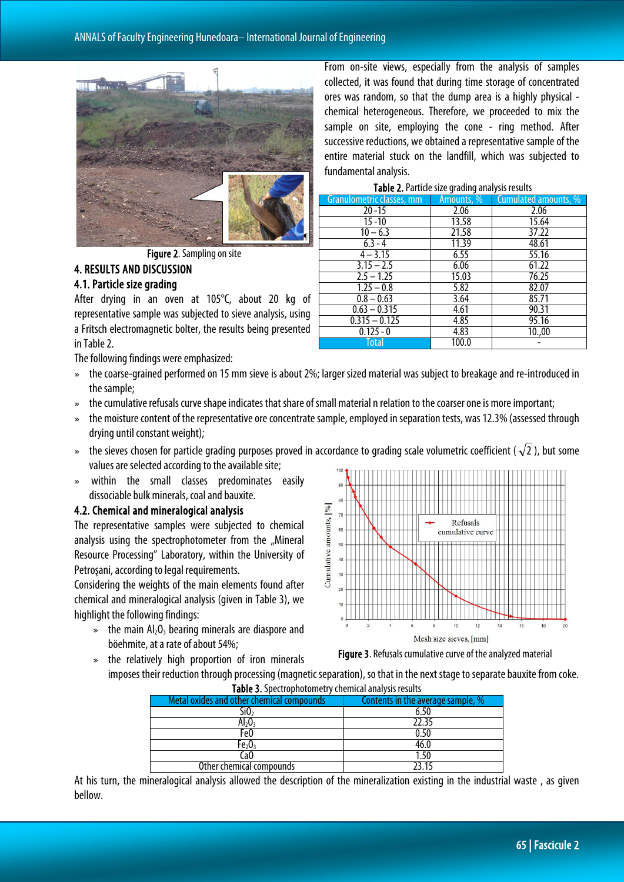

Figure 2. Sampling on site

#### 4. RESULTS AND DISCUSSION 4.1. Particle size grading

After drying in an oven at 105°C, about 20 kg of representative sample was subjected to sieve analysis, using a Fritsch electromagnetic bolter, the results being presented in Table 2.

The following findings were emphasized:

- » the coarse-grained performed on 15 mm sieve is about 2%; larger sized material was subject to breakage and re-introduced in the sample;
- » the cumulative refusals curve shape indicates that share of small material n relation to the coarser one is more important;
- » the moisture content of the representative ore concentrate sample, employed in separation tests, was 12.3% (assessed through drying until constant weight);
- » the sieves chosen for particle grading purposes proved in accordance to grading scale volumetric coefficient ( $\sqrt{2}$ ), but some values are selected according to the available site;
- » within the small classes predominates easily dissociable bulk minerals, coal and bauxite.

#### 4.2. Chemical and mineralogical analysis

The representative samples were subjected to chemical analysis using the spectrophotometer from the "Mineral Resource Processing" Laboratory, within the University of Petroşani, according to legal requirements.

Considering the weights of the main elements found after chemical and mineralogical analysis (given in Table 3), we highlight the following findings:

 $\ast$  the main Al<sub>2</sub>O<sub>3</sub> bearing minerals are diaspore and böehmite, at a rate of about 54%;

» the relatively high proportion of iron minerals



Figure 3. Refusals cumulative curve of the analyzed material

imposes their reduction through processing (magnetic separation), so that in the next stage to separate bauxite from coke. Table 3. Spectrophotometry chemical analysis results

| <b>Table 5:</b> Speculophotometry encrinted analysis results |                                   |  |  |
|--------------------------------------------------------------|-----------------------------------|--|--|
| Metal oxides and other chemical compounds                    | Contents in the average sample, % |  |  |
| SiO,                                                         |                                   |  |  |
| $Al_2O_3$                                                    | 22.35                             |  |  |
| Fe0                                                          | 0.50                              |  |  |
| Fe $_{2}$ O $_{3}$                                           | 46.0                              |  |  |
| .aO                                                          | l.50                              |  |  |
| Other chemical compounds                                     | 72 15                             |  |  |

At his turn, the mineralogical analysis allowed the description of the mineralization existing in the industrial waste , as given bellow.

From on-site views, especially from the analysis of samples collected, it was found that during time storage of concentrated ores was random, so that the dump area is a highly physical chemical heterogeneous. Therefore, we proceeded to mix the sample on site, employing the cone - ring method. After successive reductions, we obtained a representative sample of the entire material stuck on the landfill, which was subjected to fundamental analysis.

Table 2.Particle size grading analysis results

| <b>Table 2.</b> Failucle size grading analysis results |            |                      |  |
|--------------------------------------------------------|------------|----------------------|--|
| Granulometric classes, mm                              | Amounts, % | Cumulated amounts, % |  |
| $20 - 15$                                              | 2.06       | 2.06                 |  |
| $15 - 10$                                              | 13.58      | 15.64                |  |
| $10 - 6.3$                                             | 21.58      | 37.22                |  |
| $6.3 - 4$                                              | 11.39      | 48.61                |  |
| $4 - 3.15$                                             | 6.55       | 55.16                |  |
| $3.15 - 2.5$                                           | 6.06       | 61.22                |  |
| $2.5 - 1.25$                                           | 15.03      | 76.25                |  |
| $1.25 - 0.8$                                           | 5.82       | 82.07                |  |
| $0.8 - 0.63$                                           | 3.64       | 85.71                |  |
| $0.63 - 0.315$                                         | 4.61       | 90.31                |  |
| $0.315 - 0.125$                                        | 4.85       | 95.16                |  |
| $0.125 - 0$                                            | 4.83       | 10.,00               |  |
| Total                                                  | 100.0      |                      |  |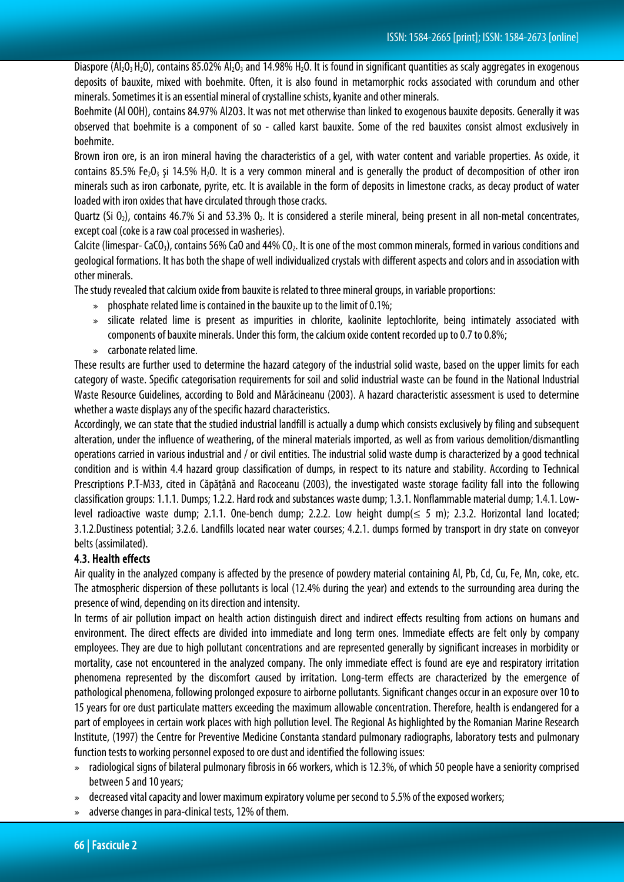Diaspore  $(A_1, O_3, H_2)$ , contains 85.02%  $A_1, O_3$  and 14.98%  $H_2O$ . It is found in significant quantities as scaly aggregates in exogenous deposits of bauxite, mixed with boehmite. Often, it is also found in metamorphic rocks associated with corundum and other minerals. Sometimes it is an essential mineral of crystalline schists, kyanite and other minerals.

Boehmite (Al OOH), contains 84.97% Al2O3. It was not met otherwise than linked to exogenous bauxite deposits. Generally it was observed that boehmite is a component of so - called karst bauxite. Some of the red bauxites consist almost exclusively in boehmite.

Brown iron ore, is an iron mineral having the characteristics of a gel, with water content and variable properties. As oxide, it contains 85.5% Fe<sub>2</sub>O<sub>3</sub> și 14.5% H<sub>2</sub>O. It is a very common mineral and is generally the product of decomposition of other iron minerals such as iron carbonate, pyrite, etc. It is available in the form of deposits in limestone cracks, as decay product of water loaded with iron oxides that have circulated through those cracks.

Quartz (Si  $0_2$ ), contains 46.7% Si and 53.3%  $0_2$ . It is considered a sterile mineral, being present in all non-metal concentrates, except coal (coke is a raw coal processed in washeries).

Calcite (limespar-CaCO<sub>3</sub>), contains 56% CaO and 44% CO<sub>2</sub>. It is one of the most common minerals, formed in various conditions and geological formations. It has both the shape of well individualized crystals with different aspects and colors and in association with other minerals.

The study revealed that calcium oxide from bauxite is related to three mineral groups, in variable proportions:

- $\bullet$  phosphate related lime is contained in the bauxite up to the limit of 0.1%;
- » silicate related lime is present as impurities in chlorite, kaolinite leptochlorite, being intimately associated with components of bauxite minerals. Under this form, the calcium oxide content recorded up to 0.7 to 0.8%;
- » carbonate related lime.

These results are further used to determine the hazard category of the industrial solid waste, based on the upper limits for each category of waste. Specific categorisation requirements for soil and solid industrial waste can be found in the National Industrial Waste Resource Guidelines, according to Bold and Mărăcineanu (2003). A hazard characteristic assessment is used to determine whether a waste displays any of the specific hazard characteristics.

Accordingly, we can state that the studied industrial landfill is actually a dump which consists exclusively by filing and subsequent alteration, under the influence of weathering, of the mineral materials imported, as well as from various demolition/dismantling operations carried in various industrial and / or civil entities. The industrial solid waste dump is characterized by a good technical condition and is within 4.4 hazard group classification of dumps, in respect to its nature and stability. According to Technical Prescriptions P.T-M33, cited in Căpăţână and Racoceanu (2003), the investigated waste storage facility fall into the following classification groups: 1.1.1. Dumps; 1.2.2. Hard rock and substances waste dump; 1.3.1. Nonflammable material dump; 1.4.1. Lowlevel radioactive waste dump; 2.1.1. One-bench dump; 2.2.2. Low height dump( $\leq$  5 m); 2.3.2. Horizontal land located; 3.1.2.Dustiness potential; 3.2.6. Landfills located near water courses; 4.2.1. dumps formed by transport in dry state on conveyor belts (assimilated).

## 4.3. Health effects

Air quality in the analyzed company is affected by the presence of powdery material containing Al, Pb, Cd, Cu, Fe, Mn, coke, etc. The atmospheric dispersion of these pollutants is local (12.4% during the year) and extends to the surrounding area during the presence of wind, depending on its direction and intensity.

In terms of air pollution impact on health action distinguish direct and indirect effects resulting from actions on humans and environment. The direct effects are divided into immediate and long term ones. Immediate effects are felt only by company employees. They are due to high pollutant concentrations and are represented generally by significant increases in morbidity or mortality, case not encountered in the analyzed company. The only immediate effect is found are eye and respiratory irritation phenomena represented by the discomfort caused by irritation. Long-term effects are characterized by the emergence of pathological phenomena, following prolonged exposure to airborne pollutants. Significant changes occur in an exposure over 10 to 15 years for ore dust particulate matters exceeding the maximum allowable concentration. Therefore, health is endangered for a part of employees in certain work places with high pollution level. The Regional As highlighted by the Romanian Marine Research Institute, (1997) the Centre for Preventive Medicine Constanta standard pulmonary radiographs, laboratory tests and pulmonary function tests to working personnel exposed to ore dust and identified the following issues:

- » radiological signs of bilateral pulmonary fibrosis in 66 workers, which is 12.3%, of which 50 people have a seniority comprised between 5 and 10 years;
- » decreased vital capacity and lower maximum expiratory volume per second to 5.5% of the exposed workers;
- adverse changes in para-clinical tests, 12% of them.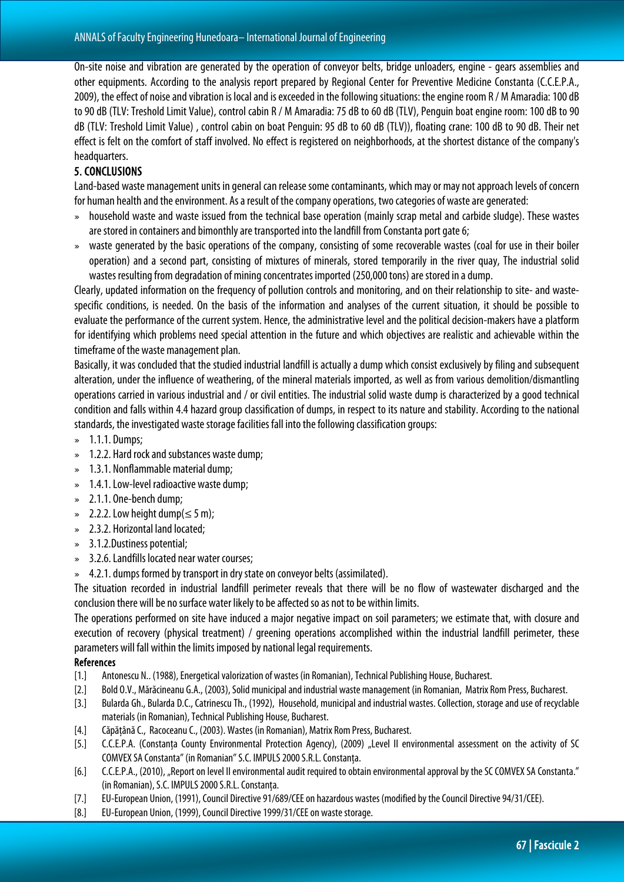On-site noise and vibration are generated by the operation of conveyor belts, bridge unloaders, engine - gears assemblies and other equipments. According to the analysis report prepared by Regional Center for Preventive Medicine Constanta (C.C.E.P.A., 2009), the effect of noise and vibration is local and is exceeded in the following situations: the engine room R / M Amaradia: 100 dB to 90 dB (TLV: Treshold Limit Value), control cabin R / M Amaradia: 75 dB to 60 dB (TLV), Penguin boat engine room: 100 dB to90 dB (TLV: Treshold Limit Value) , control cabin on boat Penguin: 95 dB to 60 dB (TLV)), floating crane: 100 dB to 90 dB. Their net effect is felt on the comfort of staff involved. No effect is registered on neighborhoods, at the shortest distance of the company's headquarters.

## 5. CONCLUSIONS

Land-based waste management units in general can release some contaminants, which may or may not approach levels of concern for human health and the environment. As a result of the company operations, two categories of waste are generated:

- » household waste and waste issued from the technical base operation (mainly scrap metal and carbide sludge). These wastes are stored in containers and bimonthly are transported into the landfill from Constanta port gate 6;
- » waste generated by the basic operations of the company, consisting of some recoverable wastes (coal for use in their boiler operation) and a second part, consisting of mixtures of minerals, stored temporarily in the river quay, The industrial solid wastes resulting from degradation of mining concentrates imported (250,000 tons) are stored in a dump.

Clearly, updated information on the frequency of pollution controls and monitoring, and on their relationship to site- and wastespecific conditions, is needed. On the basis of the information and analyses of the current situation, it should be possible to evaluate the performance of the current system. Hence, the administrative level and the political decision-makers have a platform for identifying which problems need special attention in the future and which objectives are realistic and achievable within the timeframe of the waste management plan.

Basically, it was concluded that the studied industrial landfill is actually a dump which consist exclusively by filing and subsequent alteration, under the influence of weathering, of the mineral materials imported, as well as from various demolition/dismantling operations carried in various industrial and / or civil entities. The industrial solid waste dump is characterized by a good technical condition and falls within 4.4 hazard group classification of dumps, in respect to its nature and stability. According to the national standards, the investigated waste storage facilities fall into the following classification groups:

- » 1.1.1. Dumps;
- » 1.2.2. Hard rock and substances waste dump;
- » 1.3.1. Nonflammable material dump;
- $\approx$  1.4.1. Low-level radioactive waste dump;
- » 2.1.1. One-bench dump;
- $\approx$  2.2.2. Low height dump( $\leq$  5 m);
- » 2.3.2. Horizontal land located;
- » 3.1.2.Dustiness potential;
- » 3.2.6.Landfills located near water courses;
- » 4.2.1. dumps formed by transport in dry state on conveyor belts (assimilated).

The situation recorded in industrial landfill perimeter reveals that there will be no flow of wastewater discharged and the conclusion there will be no surface water likely to be affected so as not to be within limits.

The operations performed on site have induced a major negative impact on soil parameters; we estimate that, with closure and execution of recovery (physical treatment) / greening operations accomplished within the industrial landfill perimeter, these parameters will fall within the limits imposed by national legal requirements.

## **References**

- [1.] Antonescu N.. (1988), Energetical valorization of wastes (in Romanian), Technical Publishing House, Bucharest.
- [2.] Bold O.V., Mărăcineanu G.A., (2003), Solid municipal and industrial waste management (in Romanian, Matrix Rom Press, Bucharest.
- [3.] Bularda Gh., Bularda D.C., Catrinescu Th., (1992), Household, municipal and industrial wastes. Collection, storage and use of recyclable materials (in Romanian), Technical Publishing House, Bucharest.
- [4.] Căpăţână C., Racoceanu C., (2003). Wastes (in Romanian), Matrix Rom Press, Bucharest.
- [5.] C.C.E.P.A. (Constanta County Environmental Protection Agency), (2009) "Level II environmental assessment on the activity of SC COMVEX SA Constanta" (in Romanian" S.C. IMPULS 2000 S.R.L. Constanța.
- [6.] C.C.E.P.A., (2010), "Report on level II environmental audit required to obtain environmental approval by the SC COMVEX SA Constanta." (in Romanian), S.C. IMPULS 2000 S.R.L. Constanţa.
- [7.] EU-European Union, (1991), Council Directive 91/689/CEE on hazardous wastes (modified by the Council Directive 94/31/CEE).
- [8.] EU-European Union, (1999), Council Directive 1999/31/CEE on waste storage.